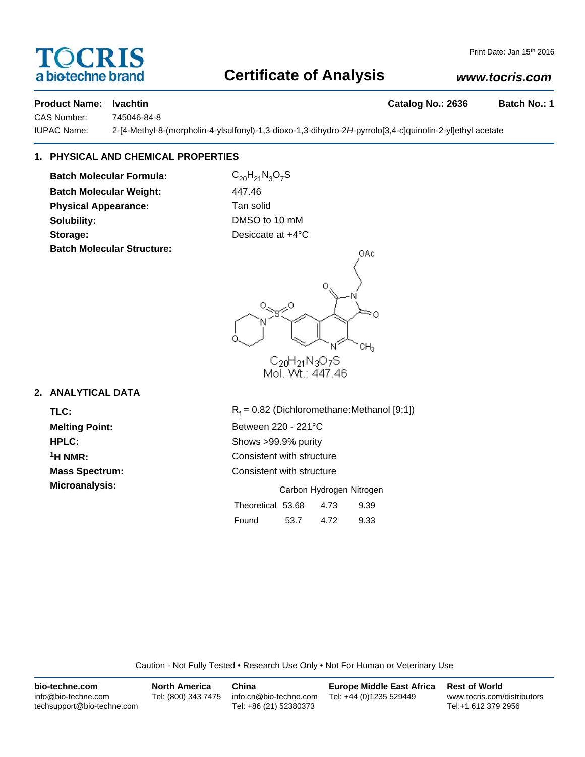# OCRIS a biotechne brand

## **Certificate of Analysis**

## *www.tocris.com*

### **Product Name: Ivachtin Catalog No.: 2636 Batch No.: 1**

CAS Number: 745046-84-8

IUPAC Name: 2-[4-Methyl-8-(morpholin-4-ylsulfonyl)-1,3-dioxo-1,3-dihydro-2*H*-pyrrolo[3,4-*c*]quinolin-2-yl]ethyl acetate

## **1. PHYSICAL AND CHEMICAL PROPERTIES**

**Batch Molecular Formula:** C<sub>20</sub>H<sub>21</sub>N<sub>3</sub>O<sub>7</sub>S **Batch Molecular Weight:** 447.46 **Physical Appearance:** Tan solid **Solubility:** DMSO to 10 mM **Storage:** Desiccate at  $+4^{\circ}$ C **Batch Molecular Structure:**



## **2. ANALYTICAL DATA**

TLC: R<sub>f</sub>

 $R_f = 0.82$  (Dichloromethane:Methanol [9:1]) **Melting Point:** Between 220 - 221°C **HPLC:** Shows >99.9% purity **1H NMR:** Consistent with structure **Mass Spectrum:** Consistent with structure **Microanalysis:** Microanalysis: **Carbon Hydrogen Nitrogen** Theoretical 53.68 4.73 9.39 Found 53.7 4.72 9.33

Caution - Not Fully Tested • Research Use Only • Not For Human or Veterinary Use

| bio-techne.com                                    | <b>North America</b> | China                                            | <b>Europe Middle East Africa</b> | <b>Rest of World</b>                               |
|---------------------------------------------------|----------------------|--------------------------------------------------|----------------------------------|----------------------------------------------------|
| info@bio-techne.com<br>techsupport@bio-techne.com | Tel: (800) 343 7475  | info.cn@bio-techne.com<br>Tel: +86 (21) 52380373 | Tel: +44 (0)1235 529449          | www.tocris.com/distributors<br>Tel:+1 612 379 2956 |